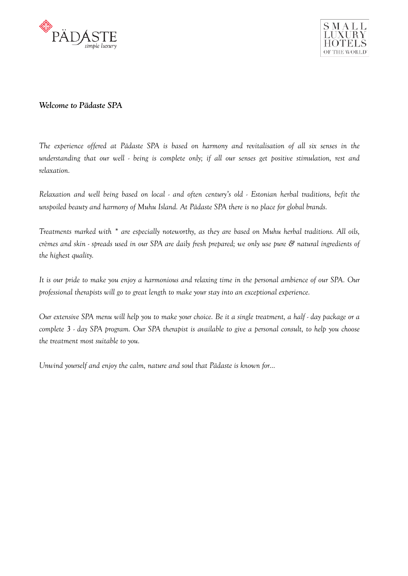



# *Welcome to Pädaste SPA*

*The experience offered at Pädaste SPA is based on harmony and revitalisation of all six senses in the understanding that our well - being is complete only; if all our senses get positive stimulation, rest and relaxation.* 

*Relaxation and well being based on local - and often century's old - Estonian herbal traditions, befit the unspoiled beauty and harmony of Muhu Island. At Pädaste SPA there is no place for global brands.* 

*Treatments marked with \* are especially noteworthy, as they are based on Muhu herbal traditions. All oils, crèmes and skin - spreads used in our SPA are daily fresh prepared; we only use pure & natural ingredients of the highest quality.* 

*It is our pride to make you enjoy a harmonious and relaxing time in the personal ambience of our SPA. Our professional therapists will go to great length to make your stay into an exceptional experience.* 

*Our extensive SPA menu will help you to make your choice. Be it a single treatment, a half - day package or a complete 3 - day SPA program. Our SPA therapist is available to give a personal consult, to help you choose the treatment most suitable to you.* 

*Unwind yourself and enjoy the calm, nature and soul that Pädaste is known for…*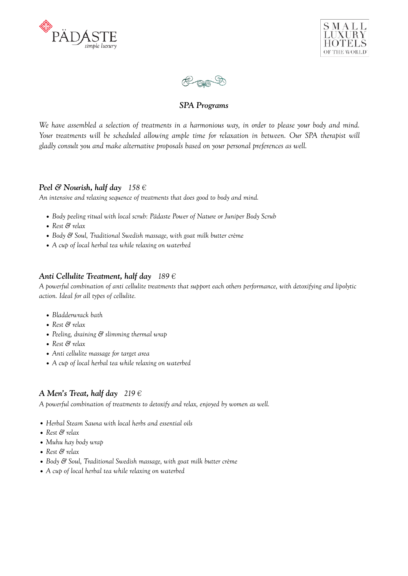





# *SPA Programs*

*We have assembled a selection of treatments in a harmonious way, in order to please your body and mind.*  Your treatments will be scheduled allowing ample time for relaxation in between. Our SPA therapist will *gladly consult you and make alternative proposals based on your personal preferences as well.* 

# *Peel & Nourish, half day 158 €*

*An intensive and relaxing sequence of treatments that does good to body and mind.* 

- *• Body peeling ritual with local scrub: Pädaste Power of Nature or Juniper Body Scrub*
- *• Rest & relax*
- *• Body & Soul, Traditional Swedish massage, with goat milk butter crème*
- *• A cup of local herbal tea while relaxing on waterbed*

# *Anti Cellulite Treatment, half day 189 €*

*A powerful combination of anti cellulite treatments that support each others performance, with detoxifying and lipolytic action. Ideal for all types of cellulite.* 

- *• Bladderwrack bath*
- *• Rest & relax*
- *• Peeling, draining & slimming thermal wrap*
- *• Rest & relax*
- *• Anti cellulite massage for target area*
- *• A cup of local herbal tea while relaxing on waterbed*

# *A Men's Treat, half day 219 €*

*A powerful combination of treatments to detoxify and relax, enjoyed by women as well.* 

- *• Herbal Steam Sauna with local herbs and essential oils*
- *• Rest & relax*
- *• Muhu hay body wrap*
- *• Rest & relax*
- *• Body & Soul, Traditional Swedish massage, with goat milk butter crème*
- *• A cup of local herbal tea while relaxing on waterbed*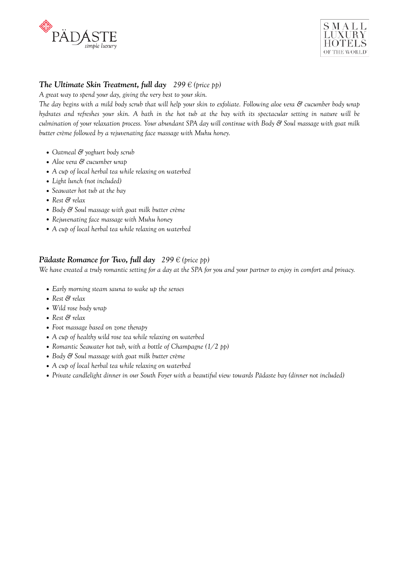



# *The Ultimate Skin Treatment, full day*  $299 \text{ } \in$  (price pp)

*A great way to spend your day, giving the very best to your skin.* 

*The day begins with a mild body scrub that will help your skin to exfoliate. Following aloe vera & cucumber body wrap hydrates and refreshes your skin. A bath in the hot tub at the bay with its spectacular setting in nature will be culmination of your relaxation process. Your abundant SPA day will continue with Body & Soul massage with goat milk butter crème followed by a rejuvenating face massage with Muhu honey.* 

- *• Oatmeal & yoghurt body scrub*
- *• Aloe vera & cucumber wrap*
- *• A cup of local herbal tea while relaxing on waterbed*
- *• Light lunch (not included)*
- *• Seawater hot tub at the bay*
- *• Rest & relax*
- *• Body & Soul massage with goat milk butter crème*
- *• Rejuvenating face massage with Muhu honey*
- *• A cup of local herbal tea while relaxing on waterbed*

# *Pädaste Romance for Two, full day 299 € (price pp)*

*We have created a truly romantic setting for a day at the SPA for you and your partner to enjoy in comfort and privacy.* 

- *• Early morning steam sauna to wake up the senses*
- *• Rest & relax*
- *• Wild rose body wrap*
- *• Rest & relax*
- *• Foot massage based on zone therapy*
- *• A cup of healthy wild rose tea while relaxing on waterbed*
- *• Romantic Seawater hot tub, with a bottle of Champagne (1/2 pp)*
- *• Body & Soul massage with goat milk butter crème*
- *• A cup of local herbal tea while relaxing on waterbed*
- *• Private candlelight dinner in our South Foyer with a beautiful view towards Pädaste bay (dinner not included)*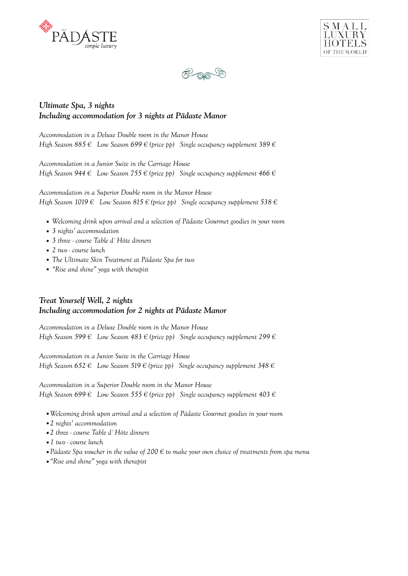





# *Ultimate Spa, 3 nights Including accommodation for 3 nights at Pädaste Manor*

*Accommodation in a Deluxe Double room in the Manor House High Season 885 € Low Season 699 € (price pp) Single occupancy supplement 389 €*

*Accommodation in a Junior Suite in the Carriage House High Season 944 € Low Season 755 € (price pp) Single occupancy supplement 466 €*

*Accommodation in a Superior Double room in the Manor House High Season 1019 € Low Season 815 € (price pp) Single occupancy supplement 538 €*

- *• Welcoming drink upon arrival and a selection of Pädaste Gourmet goodies in your room*
- *• 3 nights' accommodation*
- *• 3 three course Table d`Hôte dinners*
- *• 2 two course lunch*
- *• The Ultimate Skin Treatment at Pädaste Spa for two*
- *• "Rise and shine" yoga with therapist*

# *Treat Yourself Well, 2 nights Including accommodation for 2 nights at Pädaste Manor*

*Accommodation in a Deluxe Double room in the Manor House High Season 599 € Low Season 483 € (price pp) Single occupancy supplement 299 €*

*Accommodation in a Junior Suite in the Carriage House High Season 652 € Low Season 519 € (price pp) Single occupancy supplement 348 €*

*Accommodation in a Superior Double room in the Manor House High Season 699 € Low Season 555 € (price pp) Single occupancy supplement 403 €*

- *•Welcoming drink upon arrival and a selection of Pädaste Gourmet goodies in your room*
- *•2 nights' accommodation*
- *•2 three course Table d`Hôte dinners*
- *•1 two course lunch*
- *•Pädaste Spa voucher in the value of 200 € to make your own choice of treatments from spa menu*
- *•"Rise and shine" yoga with therapist*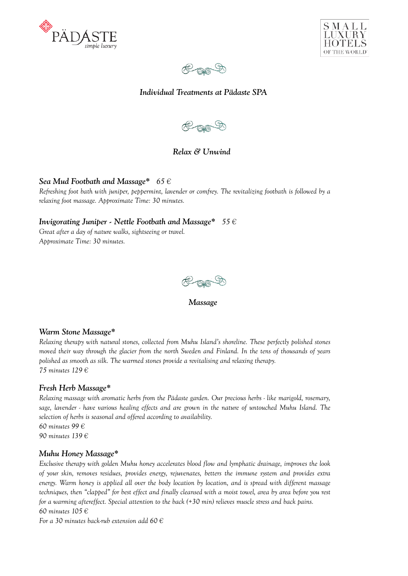





# *Individual Treatments at Pädaste SPA*



# *Relax & Unwind*

# *Sea Mud Footbath and Massage\* 65 €*

*Refreshing foot bath with juniper, peppermint, lavender or comfrey. The revitalizing footbath is followed by a relaxing foot massage. Approximate Time: 30 minutes.* 

# *Invigorating Juniper - Nettle Footbath and Massage\* 55 €*

*Great after a day of nature walks, sightseeing or travel. Approximate Time: 30 minutes.* 



 *Massage*

# *Warm Stone Massage\**

*Relaxing therapy with natural stones, collected from Muhu Island's shoreline. These perfectly polished stones moved their way through the glacier from the north Sweden and Finland. In the tens of thousands of years polished as smooth as silk. The warmed stones provide a revitalising and relaxing therapy. 75 minutes 129 €*

# *Fresh Herb Massage\**

*Relaxing massage with aromatic herbs from the Pädaste garden. Our precious herbs - like marigold, rosemary, sage, lavender - have various healing effects and are grown in the nature of untouched Muhu Island. The selection of herbs is seasonal and offered according to availability. 60 minutes 99 € 90 minutes 139 €*

# *Muhu Honey Massage\**

*Exclusive therapy with golden Muhu honey accelerates blood flow and lymphatic drainage, improves the look of your skin, removes residues, provides energy, rejuvenates, betters the immune system and provides extra energy. Warm honey is applied all over the body location by location, and is spread with different massage techniques, then "clapped" for best effect and finally cleansed with a moist towel, area by area before you rest for a warming aftereffect. Special attention to the back (+30 min) relieves muscle stress and back pains. 60 minutes 105 €*

*For a 30 minutes back-rub extension add 60 €*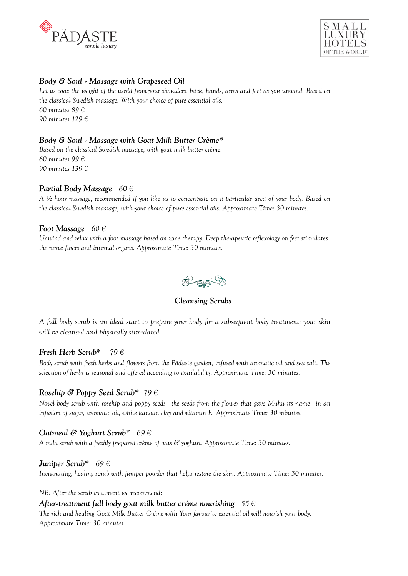



# *Body & Soul - Massage with Grapeseed Oil*

*Let us coax the weight of the world from your shoulders, back, hands, arms and feet as you unwind. Based on the classical Swedish massage. With your choice of pure essential oils. 60 minutes 89 € 90 minutes 129 €*

# *Body & Soul - Massage with Goat Milk Butter Crème\**

*Based on the classical Swedish massage, with goat milk butter crème. 60 minutes 99 € 90 minutes 139 €*

### *Partial Body Massage 60 €*

*A ½ hour massage, recommended if you like us to concentrate on a particular area of your body. Based on the classical Swedish massage, with your choice of pure essential oils. Approximate Time: 30 minutes.* 

#### *Foot Massage 60 €*

*Unwind and relax with a foot massage based on zone therapy. Deep therapeutic reflexology on feet stimulates the nerve fibers and internal organs. Approximate Time: 30 minutes.* 



 *Cleansing Scrubs* 

*A full body scrub is an ideal start to prepare your body for a subsequent body treatment; your skin will be cleansed and physically stimulated.* 

#### *Fresh Herb Scrub\* 79 €*

*Body scrub with fresh herbs and flowers from the Pädaste garden, infused with aromatic oil and sea salt. The selection of herbs is seasonal and offered according to availability. Approximate Time: 30 minutes.* 

### *Rosehip & Poppy Seed Scrub\* 79 €*

*Novel body scrub with rosehip and poppy seeds - the seeds from the flower that gave Muhu its name - in an infusion of sugar, aromatic oil, white kanolin clay and vitamin E. Approximate Time: 30 minutes.*

#### *Oatmeal & Yoghurt Scrub\* 69 €*

*A mild scrub with a freshly prepared crème of oats & yoghurt. Approximate Time: 30 minutes.* 

#### *Juniper Scrub\* 69 €*

*Invigorating, healing scrub with juniper powder that helps restore the skin. Approximate Time: 30 minutes.* 

*NB! After the scrub treatment we recommend:* 

#### *After-treatment full body goat milk butter créme nourishing 55 €*

*The rich and healing Goat Milk Butter Créme with Your favourite essential oil will nourish your body. Approximate Time: 30 minutes.*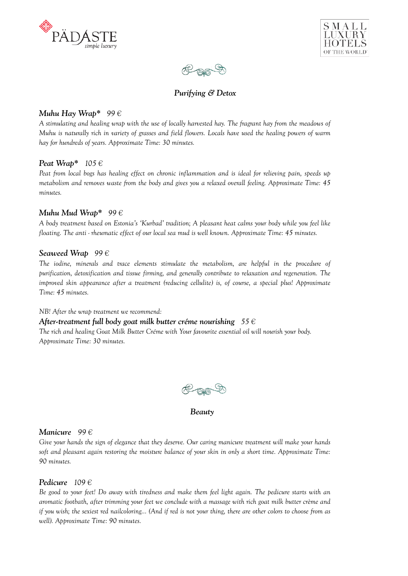





# *Purifying & Detox*

### *Muhu Hay Wrap\* 99 €*

*A stimulating and healing wrap with the use of locally harvested hay. The fragrant hay from the meadows of Muhu is naturally rich in variety of grasses and field flowers. Locals have used the healing powers of warm hay for hundreds of years. Approximate Time: 30 minutes.* 

### *Peat Wrap\* 105 €*

*Peat from local bogs has healing effect on chronic inflammation and is ideal for relieving pain, speeds up metabolism and removes waste from the body and gives you a relaxed overall feeling. Approximate Time: 45 minutes.* 

### *Muhu Mud Wrap\* 99 €*

*A body treatment based on Estonia's 'Kurbad' tradition; A pleasant heat calms your body while you feel like floating. The anti - rheumatic effect of our local sea mud is well known. Approximate Time: 45 minutes.* 

### *Seaweed Wrap 99 €*

*The iodine, minerals and trace elements stimulate the metabolism, are helpful in the procedure of purification, detoxification and tissue firming, and generally contribute to relaxation and regeneration. The improved skin appearance after a treatment (reducing cellulite) is, of course, a special plus! Approximate Time: 45 minutes.* 

*NB! After the wrap treatment we recommend:* 

*After-treatment full body goat milk butter créme nourishing 55 €*

*The rich and healing Goat Milk Butter Créme with Your favourite essential oil will nourish your body. Approximate Time: 30 minutes.* 



 *Beauty* 

#### *Manicure 99 €*

*Give your hands the sign of elegance that they deserve. Our caring manicure treatment will make your hands soft and pleasant again restoring the moisture balance of your skin in only a short time. Approximate Time: 90 minutes.* 

# *Pedicure 109 €*

*Be good to your feet! Do away with tiredness and make them feel light again. The pedicure starts with an aromatic footbath, after trimming your feet we conclude with a massage with rich goat milk butter crème and if you wish; the sexiest red nailcoloring... (And if red is not your thing, there are other colors to choose from as well). Approximate Time: 90 minutes.*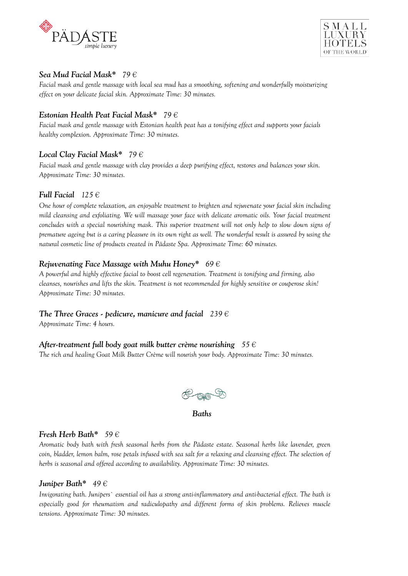



# *Sea Mud Facial Mask\* 79 €*

*Facial mask and gentle massage with local sea mud has a smoothing, softening and wonderfully moisturizing effect on your delicate facial skin. Approximate Time: 30 minutes.* 

# *Estonian Health Peat Facial Mask\* 79 €*

*Facial mask and gentle massage with Estonian health peat has a tonifying effect and supports your facials healthy complexion. Approximate Time: 30 minutes.* 

# *Local Clay Facial Mask\* 79 €*

*Facial mask and gentle massage with clay provides a deep purifying effect, restores and balances your skin. Approximate Time: 30 minutes.* 

# *Full Facial 125 €*

*One hour of complete relaxation, an enjoyable treatment to brighten and rejuvenate your facial skin including mild cleansing and exfoliating. We will massage your face with delicate aromatic oils. Your facial treatment concludes with a special nourishing mask. This superior treatment will not only help to slow down signs of premature ageing but is a caring pleasure in its own right as well. The wonderful result is assured by using the natural cosmetic line of products created in Pädaste Spa. Approximate Time: 60 minutes.* 

# *Rejuvenating Face Massage with Muhu Honey\* 69 €*

*A powerful and highly effective facial to boost cell regeneration. Treatment is tonifying and firming, also cleanses, nourishes and lifts the skin. Treatment is not recommended for highly sensitive or couperose skin! Approximate Time: 30 minutes.* 

# *The Three Graces - pedicure, manicure and facial 239 €*

*Approximate Time: 4 hours.* 

# *After-treatment full body goat milk butter crème nourishing*  $55 \in$

*The rich and healing Goat Milk Butter Crème will nourish your body. Approximate Time: 30 minutes.* 



 *Baths* 

# *Fresh Herb Bath\* 59 €*

*Aromatic body bath with fresh seasonal herbs from the Pädaste estate. Seasonal herbs like lavender, green coin, bladder, lemon balm, rose petals infused with sea salt for a relaxing and cleansing effect. The selection of herbs is seasonal and offered according to availability. Approximate Time: 30 minutes.* 

# *Juniper Bath\* 49 €*

*Invigorating bath. Junipers` essential oil has a strong anti-inflammatory and anti-bacterial effect. The bath is especially good for rheumatism and radiculopathy and different forms of skin problems. Relieves muscle tensions. Approximate Time: 30 minutes.*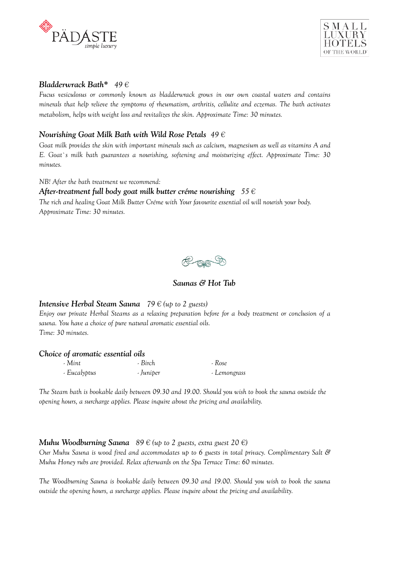



### *Bladderwrack Bath\* 49 €*

*Fucus vesiculosus or commonly known as bladderwrack grows in our own coastal waters and contains minerals that help relieve the symptoms of rheumatism, arthritis, cellulite and eczemas. The bath activates metabolism, helps with weight loss and revitalizes the skin. Approximate Time: 30 minutes.*

# *Nourishing Goat Milk Bath with Wild Rose Petals 49 €*

*Goat milk provides the skin with important minerals such as calcium, magnesium as well as vitamins A and E. Goat`s milk bath guarantees a nourishing, softening and moisturizing effect. Approximate Time: 30 minutes.* 

*NB! After the bath treatment we recommend:* 

#### *After-treatment full body goat milk butter créme nourishing 55 €*

*The rich and healing Goat Milk Butter Créme with Your favourite essential oil will nourish your body. Approximate Time: 30 minutes.* 



### *Saunas & Hot Tub*

#### *Intensive Herbal Steam Sauna 79 € (up to 2 guests)*

*Enjoy our private Herbal Steams as a relaxing preparation before for a body treatment or conclusion of a sauna. You have a choice of pure natural aromatic essential oils. Time: 30 minutes.* 

#### *Choice of aromatic essential oils*

| - Mint       | - Birch   | - Rose       |
|--------------|-----------|--------------|
| - Eucalyptus | - Juniper | - Lemongrass |

*The Steam bath is bookable daily between 09.30 and 19.00. Should you wish to book the sauna outside the opening hours, a surcharge applies. Please inquire about the pricing and availability.* 

# *Muhu Woodburning Sauna*  $89 \in (\text{up to 2 guess}, \text{extra guest 20} \in \text{)}$

*Our Muhu Sauna is wood fired and accommodates up to 6 guests in total privacy. Complimentary Salt & Muhu Honey rubs are provided. Relax afterwards on the Spa Terrace Time: 60 minutes.* 

*The Woodburning Sauna is bookable daily between 09.30 and 19.00. Should you wish to book the sauna outside the opening hours, a surcharge applies. Please inquire about the pricing and availability.*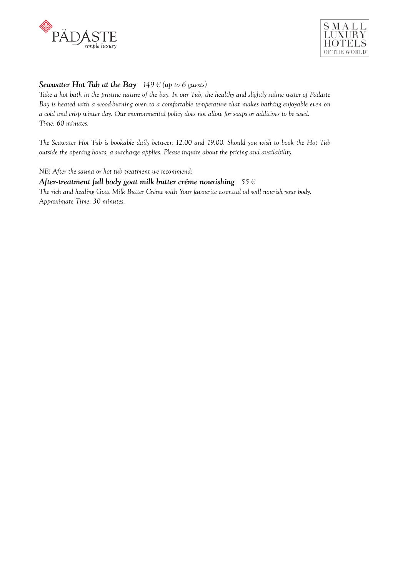



# **Seawater Hot Tub at the Bay**  $149 \in (\text{up to 6} \text{ guestos})$

*Take a hot bath in the pristine nature of the bay. In our Tub, the healthy and slightly saline water of Pädaste Bay is heated with a wood-burning oven to a comfortable temperature that makes bathing enjoyable even on a cold and crisp winter day. Our environmental policy does not allow for soaps or additives to be used. Time: 60 minutes.* 

*The Seawater Hot Tub is bookable daily between 12.00 and 19.00. Should you wish to book the Hot Tub outside the opening hours, a surcharge applies. Please inquire about the pricing and availability.* 

*NB! After the sauna or hot tub treatment we recommend:* 

#### *After-treatment full body goat milk butter créme nourishing 55 €*

*The rich and healing Goat Milk Butter Créme with Your favourite essential oil will nourish your body. Approximate Time: 30 minutes.*